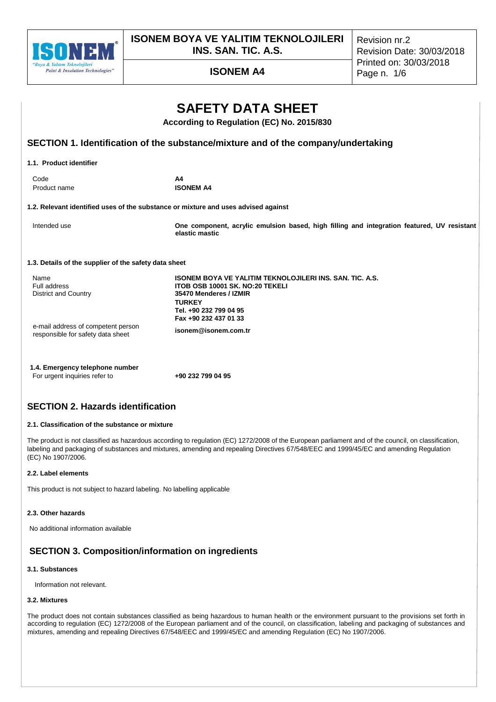

**ISONEM BOYA VE YALITIM TEKNOLOJILERI INS. SAN. TIC. A.S.**

Revision nr.2 Revision Date: 30/03/2018 Printed on: 30/03/2018

# **ISONEM A4** Page n. 1/6

|                                                                         | <b>SAFETY DATA SHEET</b><br>According to Regulation (EC) No. 2015/830                                                                                                                            |
|-------------------------------------------------------------------------|--------------------------------------------------------------------------------------------------------------------------------------------------------------------------------------------------|
|                                                                         | SECTION 1. Identification of the substance/mixture and of the company/undertaking                                                                                                                |
| 1.1. Product identifier                                                 |                                                                                                                                                                                                  |
| Code<br>Product name                                                    | A4<br><b>ISONEM A4</b>                                                                                                                                                                           |
|                                                                         | 1.2. Relevant identified uses of the substance or mixture and uses advised against                                                                                                               |
| Intended use                                                            | One component, acrylic emulsion based, high filling and integration featured, UV resistant<br>elastic mastic                                                                                     |
| 1.3. Details of the supplier of the safety data sheet                   |                                                                                                                                                                                                  |
| Name<br>Full address<br><b>District and Country</b>                     | <b>ISONEM BOYA VE YALITIM TEKNOLOJILERI INS. SAN. TIC. A.S.</b><br>ITOB OSB 10001 SK. NO:20 TEKELI<br>35470 Menderes / IZMIR<br><b>TURKEY</b><br>Tel. +90 232 799 04 95<br>Fax +90 232 437 01 33 |
| e-mail address of competent person<br>responsible for safety data sheet | isonem@isonem.com.tr                                                                                                                                                                             |
| 1.4. Emergency telephone number                                         |                                                                                                                                                                                                  |

# **SECTION 2. Hazards identification**

### **2.1. Classification of the substance or mixture**

The product is not classified as hazardous according to regulation (EC) 1272/2008 of the European parliament and of the council, on classification, labeling and packaging of substances and mixtures, amending and repealing Directives 67/548/EEC and 1999/45/EC and amending Regulation (EC) No 1907/2006.

### **2.2. Label elements**

This product is not subject to hazard labeling. No labelling applicable

For urgent inquiries refer to **+90 232 799 04 95**

### **2.3. Other hazards**

No additional information available

# **SECTION 3. Composition/information on ingredients**

### **3.1. Substances**

Information not relevant.

### **3.2. Mixtures**

The product does not contain substances classified as being hazardous to human health or the environment pursuant to the provisions set forth in according to regulation (EC) 1272/2008 of the European parliament and of the council, on classification, labeling and packaging of substances and mixtures, amending and repealing Directives 67/548/EEC and 1999/45/EC and amending Regulation (EC) No 1907/2006.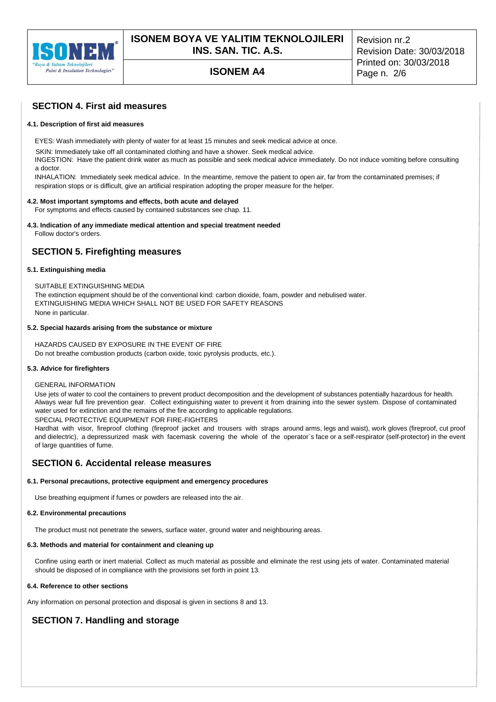

# **ISONEM A4** Page n. 2/6

Revision nr.2 Revision Date: 30/03/2018 Printed on: 30/03/2018

# **SECTION 4. First aid measures**

### **4.1. Description of first aid measures**

EYES: Wash immediately with plenty of water for at least 15 minutes and seek medical advice at once.

SKIN: Immediately take off all contaminated clothing and have a shower. Seek medical advice.

INGESTION: Have the patient drink water as much as possible and seek medical advice immediately. Do not induce vomiting before consulting a doctor.

INHALATION: Immediately seek medical advice. In the meantime, remove the patient to open air, far from the contaminated premises; if respiration stops or is difficult, give an artificial respiration adopting the proper measure for the helper.

#### **4.2. Most important symptoms and effects, both acute and delayed**

For symptoms and effects caused by contained substances see chap. 11.

# **4.3. Indication of any immediate medical attention and special treatment needed**

Follow doctor's orders.

# **SECTION 5. Firefighting measures**

### **5.1. Extinguishing media**

SUITABLE EXTINGUISHING MEDIA The extinction equipment should be of the conventional kind: carbon dioxide, foam, powder and nebulised water. EXTINGUISHING MEDIA WHICH SHALL NOT BE USED FOR SAFETY REASONS

None in particular.

### **5.2. Special hazards arising from the substance or mixture**

HAZARDS CAUSED BY EXPOSURE IN THE EVENT OF FIRE Do not breathe combustion products (carbon oxide, toxic pyrolysis products, etc.).

#### **5.3. Advice for firefighters**

#### GENERAL INFORMATION

Use jets of water to cool the containers to prevent product decomposition and the development of substances potentially hazardous for health. Always wear full fire prevention gear. Collect extinguishing water to prevent it from draining into the sewer system. Dispose of contaminated water used for extinction and the remains of the fire according to applicable regulations. SPECIAL PROTECTIVE EQUIPMENT FOR FIRE-FIGHTERS

Hardhat with visor, fireproof clothing (fireproof jacket and trousers with straps around arms, legs and waist), work gloves (fireproof, cut proof and dielectric), a depressurized mask with facemask covering the whole of the operator`s face or a self-respirator (self-protector) in the event of large quantities of fume.

# **SECTION 6. Accidental release measures**

#### **6.1. Personal precautions, protective equipment and emergency procedures**

Use breathing equipment if fumes or powders are released into the air.

#### **6.2. Environmental precautions**

The product must not penetrate the sewers, surface water, ground water and neighbouring areas.

### **6.3. Methods and material for containment and cleaning up**

Confine using earth or inert material. Collect as much material as possible and eliminate the rest using jets of water. Contaminated material should be disposed of in compliance with the provisions set forth in point 13.

## **6.4. Reference to other sections**

Any information on personal protection and disposal is given in sections 8 and 13.

# **SECTION 7. Handling and storage**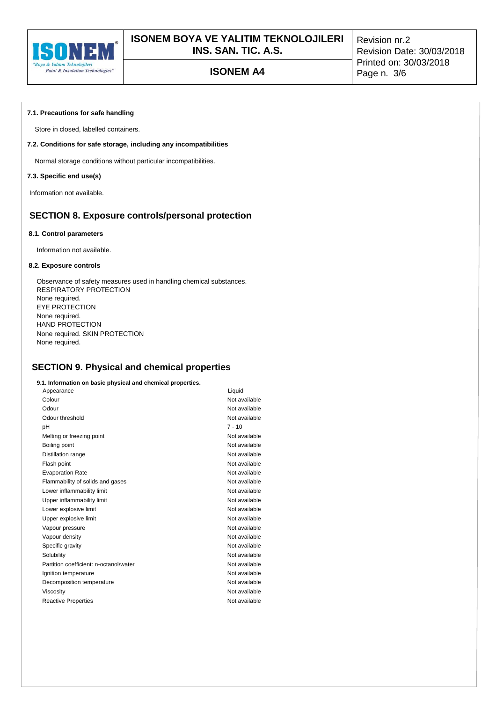

# **ISONEM A4** Page n. 3/6

Revision nr.2 Revision Date: 30/03/2018 Printed on: 30/03/2018

### **7.1. Precautions for safe handling**

Store in closed, labelled containers.

### **7.2. Conditions for safe storage, including any incompatibilities**

Normal storage conditions without particular incompatibilities.

### **7.3. Specific end use(s)**

Information not available.

# **SECTION 8. Exposure controls/personal protection**

#### **8.1. Control parameters**

Information not available.

#### **8.2. Exposure controls**

Observance of safety measures used in handling chemical substances. RESPIRATORY PROTECTION None required. EYE PROTECTION None required. HAND PROTECTION None required. SKIN PROTECTION None required.

# **SECTION 9. Physical and chemical properties**

#### **9.1. Information on basic physical and chemical properties.**

| Appearance                             | Liquid        |
|----------------------------------------|---------------|
| Colour                                 | Not available |
| Odour                                  | Not available |
| Odour threshold                        | Not available |
| рH                                     | $7 - 10$      |
| Melting or freezing point              | Not available |
| Boiling point                          | Not available |
| Distillation range                     | Not available |
| Flash point                            | Not available |
| <b>Evaporation Rate</b>                | Not available |
| Flammability of solids and gases       | Not available |
| Lower inflammability limit             | Not available |
| Upper inflammability limit             | Not available |
| Lower explosive limit                  | Not available |
| Upper explosive limit                  | Not available |
| Vapour pressure                        | Not available |
| Vapour density                         | Not available |
| Specific gravity                       | Not available |
| Solubility                             | Not available |
| Partition coefficient: n-octanol/water | Not available |
| Ignition temperature                   | Not available |
| Decomposition temperature              | Not available |
| Viscosity                              | Not available |
| <b>Reactive Properties</b>             | Not available |
|                                        |               |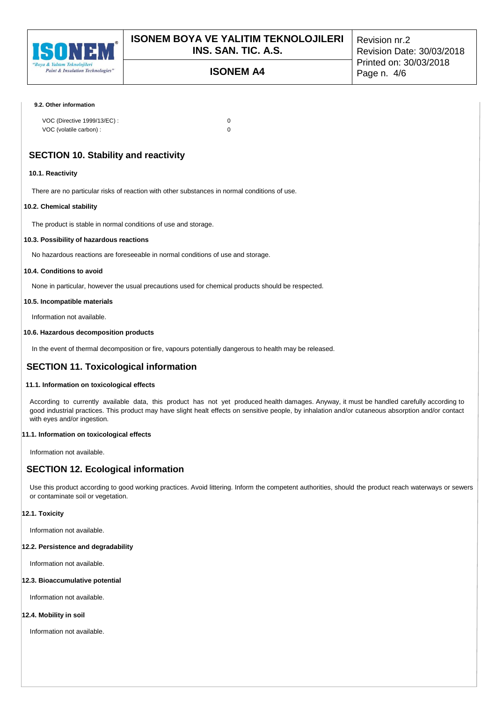

# **ISONEM A4** Page n. 4/6

Revision nr.2 Revision Date: 30/03/2018 Printed on: 30/03/2018

#### **9.2. Other information**

| VOC (Directive 1999/13/EC) : |  |
|------------------------------|--|
| VOC (volatile carbon) :      |  |

# **SECTION 10. Stability and reactivity**

### **10.1. Reactivity**

There are no particular risks of reaction with other substances in normal conditions of use.

### **10.2. Chemical stability**

The product is stable in normal conditions of use and storage.

### **10.3. Possibility of hazardous reactions**

No hazardous reactions are foreseeable in normal conditions of use and storage.

## **10.4. Conditions to avoid**

None in particular, however the usual precautions used for chemical products should be respected.

### **10.5. Incompatible materials**

Information not available.

### **10.6. Hazardous decomposition products**

In the event of thermal decomposition or fire, vapours potentially dangerous to health may be released.

# **SECTION 11. Toxicological information**

### **11.1. Information on toxicological effects**

According to currently available data, this product has not yet produced health damages. Anyway, it must be handled carefully according to good industrial practices. This product may have slight healt effects on sensitive people, by inhalation and/or cutaneous absorption and/or contact with eyes and/or ingestion.

### **11.1. Information on toxicological effects**

Information not available.

# **SECTION 12. Ecological information**

Use this product according to good working practices. Avoid littering. Inform the competent authorities, should the product reach waterways or sewers or contaminate soil or vegetation.

### **12.1. Toxicity**

Information not available.

#### **12.2. Persistence and degradability**

Information not available.

### **12.3. Bioaccumulative potential**

Information not available.

### **12.4. Mobility in soil**

Information not available.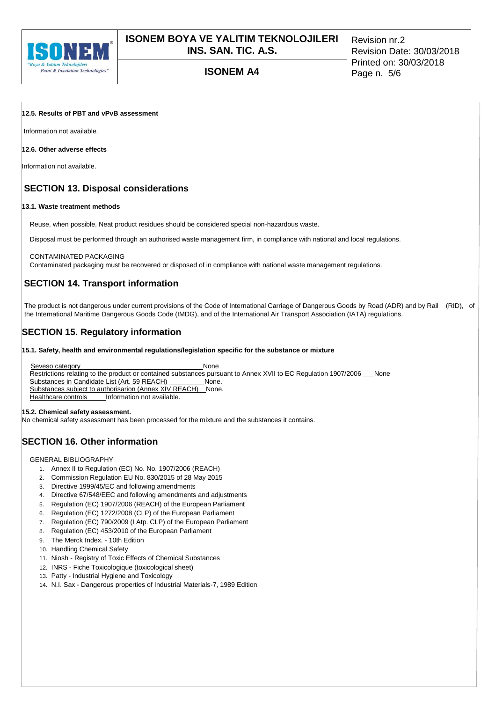

# **ISONEM A4** Page n. 5/6

Revision nr.2 Revision Date: 30/03/2018 Printed on: 30/03/2018

### **12.5. Results of PBT and vPvB assessment**

Information not available.

## **12.6. Other adverse effects**

Information not available.

# **SECTION 13. Disposal considerations**

### **13.1. Waste treatment methods**

Reuse, when possible. Neat product residues should be considered special non-hazardous waste.

Disposal must be performed through an authorised waste management firm, in compliance with national and local regulations.

### CONTAMINATED PACKAGING

Contaminated packaging must be recovered or disposed of in compliance with national waste management regulations.

# **SECTION 14. Transport information**

The product is not dangerous under current provisions of the Code of International Carriage of Dangerous Goods by Road (ADR) and by Rail (RID), of the International Maritime Dangerous Goods Code (IMDG), and of the International Air Transport Association (IATA) regulations.

# **SECTION 15. Regulatory information**

**15.1. Safety, health and environmental regulations/legislation specific for the substance or mixture**

Seveso category **None** None Restrictions relating to the product or contained substances pursuant to Annex XVII to EC Regulation 1907/2006 \_\_\_None<br>Substances in Candidate List (Art. 59 REACH) \_\_\_\_\_\_\_\_\_\_None. Substances in Candidate List (Art. 59 REACH) \_\_\_\_\_\_\_\_\_None. Substances subject to authorisarion (Annex XIV REACH) Healthcare controls\_\_\_\_\_\_Information not available.

#### **15.2. Chemical safety assessment.**

No chemical safety assessment has been processed for the mixture and the substances it contains.

# **SECTION 16. Other information**

GENERAL BIBLIOGRAPHY

- 1. Annex II to Regulation (EC) No. No. 1907/2006 (REACH)
- 2. Commission Regulation EU No. 830/2015 of 28 May 2015
- 3. Directive 1999/45/EC and following amendments
- 4. Directive 67/548/EEC and following amendments and adjustments
- 5. Regulation (EC) 1907/2006 (REACH) of the European Parliament
- 6. Regulation (EC) 1272/2008 (CLP) of the European Parliament
- 7. Regulation (EC) 790/2009 (I Atp. CLP) of the European Parliament
- 8. Regulation (EC) 453/2010 of the European Parliament
- 9. The Merck Index. 10th Edition
- 10. Handling Chemical Safety
- 11. Niosh Registry of Toxic Effects of Chemical Substances
- 12. INRS Fiche Toxicologique (toxicological sheet)
- 13. Patty Industrial Hygiene and Toxicology
- 14. N.I. Sax Dangerous properties of Industrial Materials-7, 1989 Edition